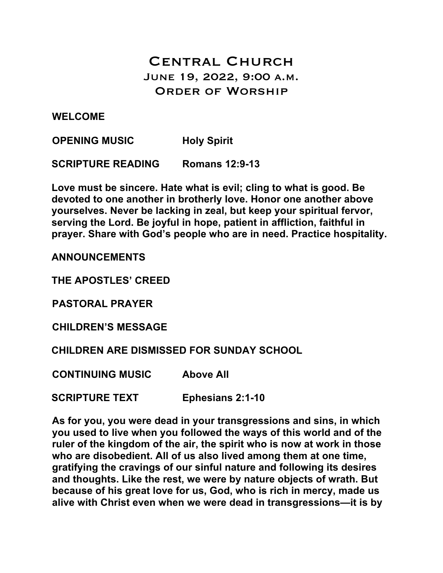# Central Church June 19, 2022, 9:00 a.m. Order of Worship

**WELCOME** 

**OPENING MUSIC Holy Spirit** 

**SCRIPTURE READING Romans 12:9-13**

**Love must be sincere. Hate what is evil; cling to what is good. Be devoted to one another in brotherly love. Honor one another above yourselves. Never be lacking in zeal, but keep your spiritual fervor, serving the Lord. Be joyful in hope, patient in affliction, faithful in prayer. Share with God's people who are in need. Practice hospitality.**

**ANNOUNCEMENTS**

**THE APOSTLES' CREED**

**PASTORAL PRAYER**

**CHILDREN'S MESSAGE**

**CHILDREN ARE DISMISSED FOR SUNDAY SCHOOL**

**CONTINUING MUSIC Above All**

**SCRIPTURE TEXT Ephesians 2:1-10**

**As for you, you were dead in your transgressions and sins, in which you used to live when you followed the ways of this world and of the ruler of the kingdom of the air, the spirit who is now at work in those who are disobedient. All of us also lived among them at one time, gratifying the cravings of our sinful nature and following its desires and thoughts. Like the rest, we were by nature objects of wrath. But because of his great love for us, God, who is rich in mercy, made us alive with Christ even when we were dead in transgressions—it is by**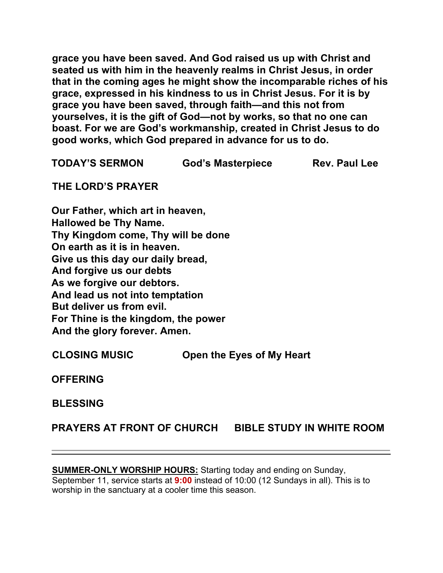**grace you have been saved. And God raised us up with Christ and seated us with him in the heavenly realms in Christ Jesus, in order that in the coming ages he might show the incomparable riches of his grace, expressed in his kindness to us in Christ Jesus. For it is by grace you have been saved, through faith—and this not from yourselves, it is the gift of God—not by works, so that no one can boast. For we are God's workmanship, created in Christ Jesus to do good works, which God prepared in advance for us to do.**

**TODAY'S SERMON God's Masterpiece Rev. Paul Lee**

**THE LORD'S PRAYER**

**Our Father, which art in heaven, Hallowed be Thy Name. Thy Kingdom come, Thy will be done On earth as it is in heaven. Give us this day our daily bread, And forgive us our debts As we forgive our debtors. And lead us not into temptation But deliver us from evil. For Thine is the kingdom, the power And the glory forever. Amen.**

**CLOSING MUSIC Open the Eyes of My Heart**

**OFFERING**

**BLESSING** 

**PRAYERS AT FRONT OF CHURCH BIBLE STUDY IN WHITE ROOM**

**SUMMER-ONLY WORSHIP HOURS:** Starting today and ending on Sunday, September 11, service starts at **9:00** instead of 10:00 (12 Sundays in all). This is to worship in the sanctuary at a cooler time this season.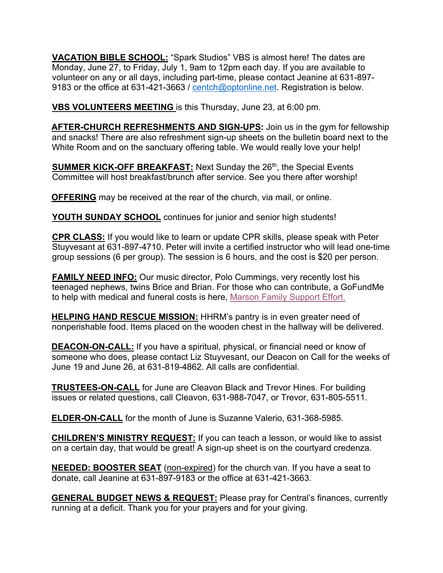**VACATION BIBLE SCHOOL:** "Spark Studios" VBS is almost here! The dates are Monday, June 27, to Friday, July 1, 9am to 12pm each day. If you are available to volunteer on any or all days, including part-time, please contact Jeanine at 631-897- 9183 or the office at 631-421-3663 / centch@optonline.net. Registration is below.

**VBS VOLUNTEERS MEETING** is this Thursday, June 23, at 6:00 pm.

**AFTER-CHURCH REFRESHMENTS AND SIGN-UPS:** Join us in the gym for fellowship and snacks! There are also refreshment sign-up sheets on the bulletin board next to the White Room and on the sanctuary offering table. We would really love your help!

**SUMMER KICK-OFF BREAKFAST:** Next Sunday the 26<sup>th</sup>, the Special Events Committee will host breakfast/brunch after service. See you there after worship!

**OFFERING** may be received at the rear of the church, via mail, or online.

**YOUTH SUNDAY SCHOOL** continues for junior and senior high students!

**CPR CLASS:** If you would like to learn or update CPR skills, please speak with Peter Stuyvesant at 631-897-4710. Peter will invite a certified instructor who will lead one-time group sessions (6 per group). The session is 6 hours, and the cost is \$20 per person.

**FAMILY NEED INFO:** Our music director, Polo Cummings, very recently lost his teenaged nephews, twins Brice and Brian. For those who can contribute, a GoFundMe to help with medical and funeral costs is here, Marson Family Support Effort.

**HELPING HAND RESCUE MISSION:** HHRM's pantry is in even greater need of nonperishable food. Items placed on the wooden chest in the hallway will be delivered.

**DEACON-ON-CALL:** If you have a spiritual, physical, or financial need or know of someone who does, please contact Liz Stuyvesant, our Deacon on Call for the weeks of June 19 and June 26, at 631-819-4862. All calls are confidential.

**TRUSTEES-ON-CALL** for June are Cleavon Black and Trevor Hines. For building issues or related questions, call Cleavon, 631-988-7047, or Trevor, 631-805-5511.

**ELDER-ON-CALL** for the month of June is Suzanne Valerio, 631-368-5985.

**CHILDREN'S MINISTRY REQUEST:** If you can teach a lesson, or would like to assist on a certain day, that would be great! A sign-up sheet is on the courtyard credenza.

**NEEDED: BOOSTER SEAT** (non-expired) for the church van. If you have a seat to donate, call Jeanine at 631-897-9183 or the office at 631-421-3663.

**GENERAL BUDGET NEWS & REQUEST:** Please pray for Central's finances, currently running at a deficit. Thank you for your prayers and for your giving.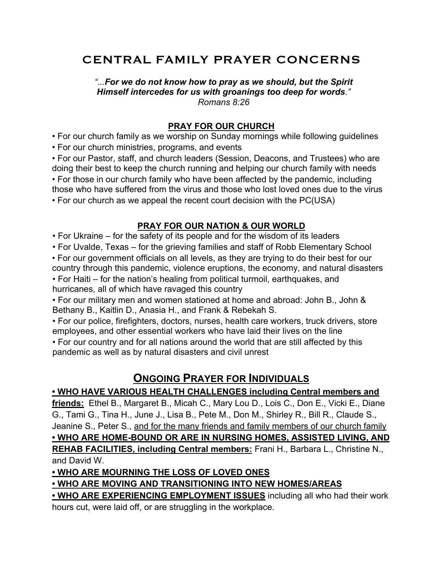## CENTRAL FAMILY PRAYER CONCERNS

*"...For we do not know how to pray as we should, but the Spirit Himself intercedes for us with groanings too deep for words." Romans 8:26* 

#### **PRAY FOR OUR CHURCH**

• For our church family as we worship on Sunday mornings while following guidelines

• For our church ministries, programs, and events

• For our Pastor, staff, and church leaders (Session, Deacons, and Trustees) who are doing their best to keep the church running and helping our church family with needs • For those in our church family who have been affected by the pandemic, including those who have suffered from the virus and those who lost loved ones due to the virus • For our church as we appeal the recent court decision with the PC(USA)

#### **PRAY FOR OUR NATION & OUR WORLD**

• For Ukraine – for the safety of its people and for the wisdom of its leaders

• For Uvalde, Texas – for the grieving families and staff of Robb Elementary School

• For our government officials on all levels, as they are trying to do their best for our country through this pandemic, violence eruptions, the economy, and natural disasters

• For Haiti – for the nation's healing from political turmoil, earthquakes, and hurricanes, all of which have ravaged this country

• For our military men and women stationed at home and abroad: John B., John & Bethany B., Kaitlin D., Anasia H., and Frank & Rebekah S.

• For our police, firefighters, doctors, nurses, health care workers, truck drivers, store employees, and other essential workers who have laid their lives on the line

• For our country and for all nations around the world that are still affected by this pandemic as well as by natural disasters and civil unrest

## **ONGOING PRAYER FOR INDIVIDUALS**

### **• WHO HAVE VARIOUS HEALTH CHALLENGES including Central members and**

**friends:** Ethel B., Margaret B., Micah C., Mary Lou D., Lois C., Don E., Vicki E., Diane G., Tami G., Tina H., June J., Lisa B., Pete M., Don M., Shirley R., Bill R., Claude S., Jeanine S., Peter S., and for the many friends and family members of our church family **• WHO ARE HOME-BOUND OR ARE IN NURSING HOMES, ASSISTED LIVING, AND REHAB FACILITIES, including Central members:** Frani H., Barbara L., Christine N., and David W.

#### **• WHO ARE MOURNING THE LOSS OF LOVED ONES**

## **• WHO ARE MOVING AND TRANSITIONING INTO NEW HOMES/AREAS**

**• WHO ARE EXPERIENCING EMPLOYMENT ISSUES** including all who had their work hours cut, were laid off, or are struggling in the workplace.